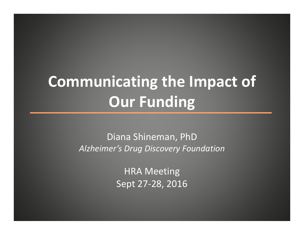# **Communicating the Impact of Our Funding**

Diana Shineman, PhD *Alzheimer's Drug Discovery Foundation*

> HRA Meeting Sept 27 ‐28, 2016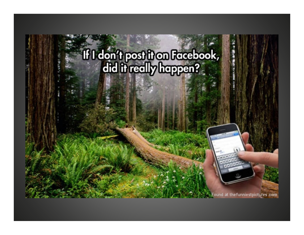# If I don't post it on Facebook,

Found at the funniestpictures.com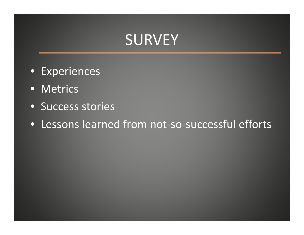## SURVEY

- Experiences
- Metrics
- Success stories
- Lessons learned from not‐so‐successful efforts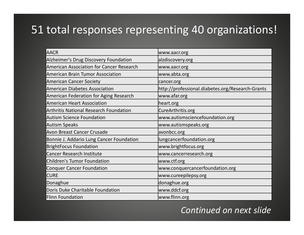#### 51 total responses representing 40 organizations!

| <b>AACR</b>                                   | www.aacr.org                                     |
|-----------------------------------------------|--------------------------------------------------|
| Alzheimer's Drug Discovery Foundation         | alzdiscovery.org                                 |
| American Association for Cancer Research      | www.aacr.org                                     |
| <b>American Brain Tumor Association</b>       | www.abta.org                                     |
| <b>American Cancer Society</b>                | cancer.org                                       |
| American Diabetes Association                 | http://professional.diabetes.org/Research-Grants |
| <b>American Federation for Aging Research</b> | www.afar.org                                     |
| American Heart Association                    | heart.org                                        |
| <b>Arthritis National Research Foundation</b> | CureArthritis.org                                |
| <b>Autism Science Foundation</b>              | www.autismsciencefoundation.org                  |
| Autism Speaks                                 | www.autismspeaks.org                             |
| Avon Breast Cancer Crusade                    | avonbcc.org                                      |
| Bonnie J. Addario Lung Cancer Foundation      | lungcancerfoundation.org                         |
| <b>BrightFocus Foundation</b>                 | www.brightfocus.org                              |
| <b>Cancer Research Institute</b>              | www.cancerresearch.org                           |
| Children's Tumor Foundation                   | www.ctf.org                                      |
| <b>Conquer Cancer Foundation</b>              | www.conquercancerfoundation.org                  |
| <b>CURE</b>                                   | www.cureepilepsy.org                             |
| Donaghue                                      | donaghue.org                                     |
| Doris Duke Charitable Foundation              | www.ddcf.org                                     |
| Flinn Foundation                              | www.flinn.org                                    |

#### *Continued on next slide*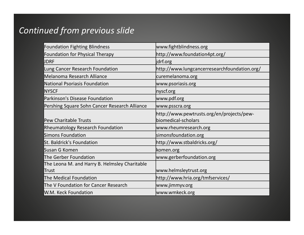#### *Continued from previous slide*

| <b>Foundation Fighting Blindness</b>                    | www.fightblindness.org                                           |
|---------------------------------------------------------|------------------------------------------------------------------|
| Foundation for Physical Therapy                         | http://www.foundation4pt.org/                                    |
| <b>JDRF</b>                                             | jdrf.org                                                         |
| Lung Cancer Research Foundation                         | http://www.lungcancerresearchfoundation.org/                     |
| Melanoma Research Alliance                              | curemelanoma.org                                                 |
| National Psoriasis Foundation                           | www.psoriasis.org                                                |
| <b>NYSCF</b>                                            | nyscf.org                                                        |
| Parkinson's Disease Foundation                          | www.pdf.org                                                      |
| Pershing Square Sohn Cancer Research Alliance           | www.psscra.org                                                   |
| <b>Pew Charitable Trusts</b>                            | http://www.pewtrusts.org/en/projects/pew-<br>biomedical-scholars |
| <b>Rheumatology Research Foundation</b>                 | www.rheumresearch.org                                            |
| Simons Foundation                                       | simonsfoundation.org                                             |
| St. Baldrick's Foundation                               | http://www.stbaldricks.org/                                      |
| Susan G Komen                                           | komen.org                                                        |
| The Gerber Foundation                                   | www.gerberfoundation.org                                         |
| The Leona M. and Harry B. Helmsley Charitable<br> Trust | www.helmsleytrust.org                                            |
| The Medical Foundation                                  | http://www.hria.org/tmfservices/                                 |
| The V Foundation for Cancer Research                    | www.jimmyv.org                                                   |
| W.M. Keck Foundation                                    | www.wmkeck.org                                                   |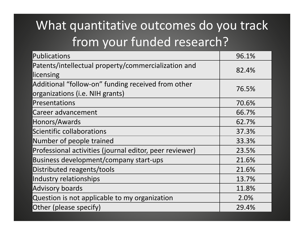## What quantitative outcomes do you track from your funded research?

| Publications                                                                          | 96.1% |
|---------------------------------------------------------------------------------------|-------|
| Patents/intellectual property/commercialization and<br>llicensing                     | 82.4% |
| Additional "follow-on" funding received from other<br>organizations (i.e. NIH grants) | 76.5% |
| Presentations                                                                         | 70.6% |
| Career advancement                                                                    | 66.7% |
| Honors/Awards                                                                         | 62.7% |
| Scientific collaborations                                                             | 37.3% |
| Number of people trained                                                              | 33.3% |
| Professional activities (journal editor, peer reviewer)                               | 23.5% |
| Business development/company start-ups                                                | 21.6% |
| Distributed reagents/tools                                                            | 21.6% |
| Industry relationships                                                                | 13.7% |
| Advisory boards                                                                       | 11.8% |
| Question is not applicable to my organization                                         | 2.0%  |
| Other (please specify)                                                                | 29.4% |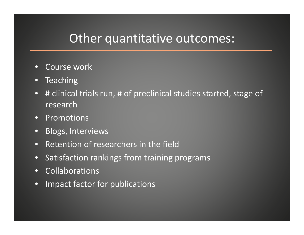#### Other quantitative outcomes:

- •Course work
- Teaching
- # clinical trials run, # of preclinical studies started, stage of research
- Promotions
- Blogs, Interviews
- •• Retention of researchers in the field
- Satisfaction rankings from training programs
- Collaborations
- •Impact factor for publications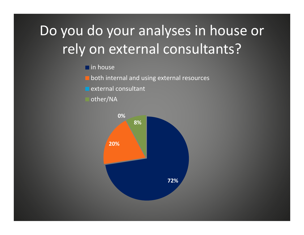# Do you do your analyses in house or rely on external consultants?

in house

both internal and using external resources

external consultant

other/NA

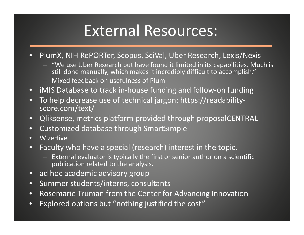# External Resources:

- $\bullet$  PlumX, NIH RePORTer, Scopus, SciVal, Uber Research, Lexis/Nexis
	- "We use Uber Research but have found it limited in its capabilities. Much is still done manually, which makes it incredibly difficult to accomplish."
	- Mixed feedback on usefulness of Plum
- iMIS Database to track in‐house funding and follow‐on funding
- • To help decrease use of technical jargon: https://readability‐ score.com/text/
- •Qliksense, metrics platform provided through proposalCENTRAL
- •Customized database through SmartSimple
- •WizeHive
- $\bullet$  Faculty who have <sup>a</sup> special (research) interest in the topic.
	- External evaluator is typically the first or senior author on <sup>a</sup> scientific publication related to the analysis.
- ad hoc academic advisory group
- •Summer students/interns, consultants
- •**•** Rosemarie Truman from the Center for Advancing Innovation
- •Explored options but "nothing justified the cost"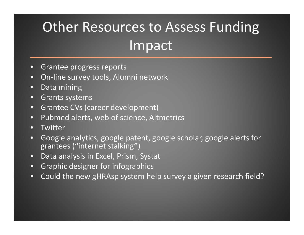# Other Resources to Assess Funding Impact

- •**•** Grantee progress reports
- •● On-line survey tools, Alumni network
- •Data mining
- •Grants systems
- •Grantee CVs (career development)
- •Pubmed alerts, web of science, Altmetrics
- •**Twitter**
- • Google analytics, google patent, google scholar, google alerts for grantees ("internet stalking")
- •Data analysis in Excel, Prism, Systat
- •Graphic designer for infographics
- •Could the new gHRAsp system help survey <sup>a</sup> given research field?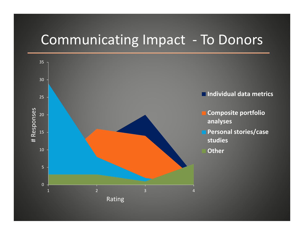### Communicating Impact ‐ To Donors

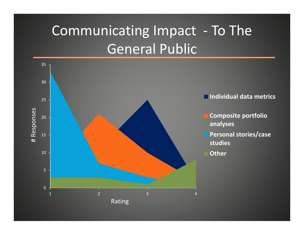# Communicating Impact ‐ To The General Public

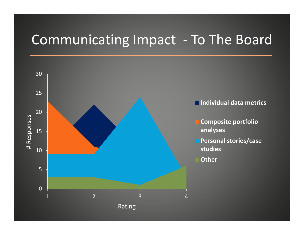### Communicating Impact ‐ To The Board

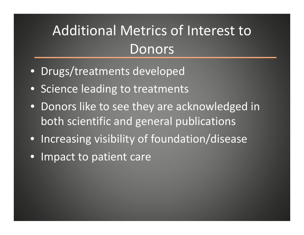# Additional Metrics of Interest to Donors

- Drugs/treatments developed
- Science leading to treatments
- Donors like to see they are acknowledged in both scientific and general publications
- Increasing visibility of foundation/disease
- •Impact to patient care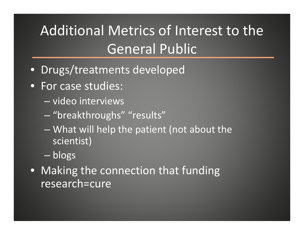# Additional Metrics of Interest to the General Public

- Drugs/treatments developed
- For case studies:
	- video interviews
	- "breakthroughs" "results"
	- What will help the patient (not about the scientist)
	- blogs
- Making the connection that funding research=cure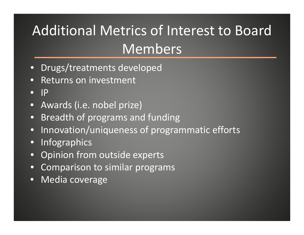# Additional Metrics of Interest to Board Members

- •Drugs/treatments developed
- • $\bullet$  Returns on investment
- •IP
- •Awards (i.e. nobel prize)
- •Breadth of programs and funding
- •Innovation/uniqueness of programmatic efforts
- •Infographics
- •Opinion from outside experts
- •Comparison to similar programs
- •Media coverage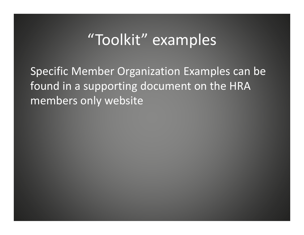## "Toolkit" examples

Specific Member Organization Examples can be found in <sup>a</sup> supporting document on the HRA members only website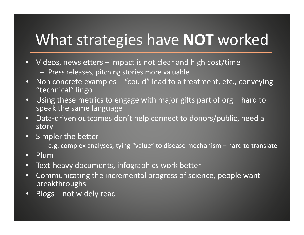# What strategies have **NOT** worked

- • Videos, newsletters – impact is not clear and high cost/time
	- Press releases, pitching stories more valuable
- • Non concrete examples – "could" lead to <sup>a</sup> treatment, etc., conveying "technical" lingo
- •Using these metrics to engage with major gifts part of org – hard to speak the same language
- • Data‐driven outcomes don't help connect to donors/public, need <sup>a</sup> story
- • Simpler the better
	- e.g. complex analyses, tying "value" to disease mechanism hard to translate
- •Plum
- •Text‐heavy documents, infographics work better
- • Communicating the incremental progress of science, people want breakthroughs
- $\bullet$ Blogs – not widely read